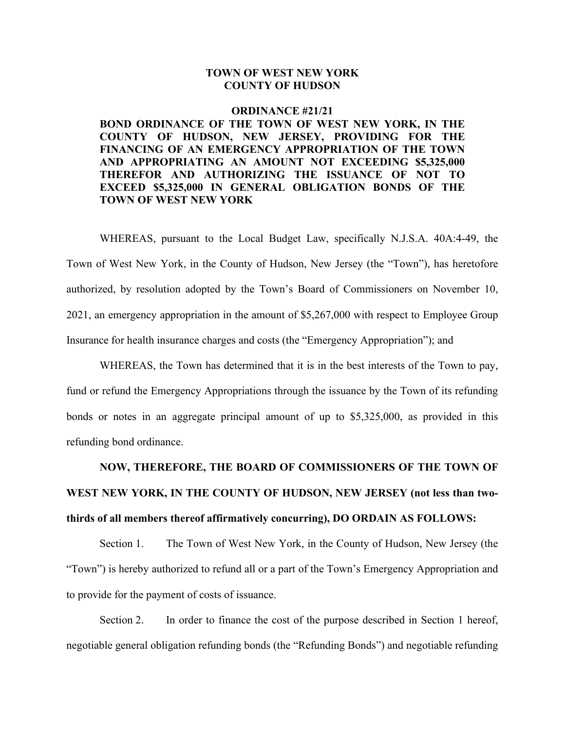## **TOWN OF WEST NEW YORK COUNTY OF HUDSON**

## **ORDINANCE #21/21 BOND ORDINANCE OF THE TOWN OF WEST NEW YORK, IN THE COUNTY OF HUDSON, NEW JERSEY, PROVIDING FOR THE FINANCING OF AN EMERGENCY APPROPRIATION OF THE TOWN AND APPROPRIATING AN AMOUNT NOT EXCEEDING \$5,325,000 THEREFOR AND AUTHORIZING THE ISSUANCE OF NOT TO EXCEED \$5,325,000 IN GENERAL OBLIGATION BONDS OF THE TOWN OF WEST NEW YORK**

WHEREAS, pursuant to the Local Budget Law, specifically N.J.S.A. 40A:4-49, the Town of West New York, in the County of Hudson, New Jersey (the "Town"), has heretofore authorized, by resolution adopted by the Town's Board of Commissioners on November 10, 2021, an emergency appropriation in the amount of \$5,267,000 with respect to Employee Group Insurance for health insurance charges and costs (the "Emergency Appropriation"); and

WHEREAS, the Town has determined that it is in the best interests of the Town to pay, fund or refund the Emergency Appropriations through the issuance by the Town of its refunding bonds or notes in an aggregate principal amount of up to \$5,325,000, as provided in this refunding bond ordinance.

## **NOW, THEREFORE, THE BOARD OF COMMISSIONERS OF THE TOWN OF WEST NEW YORK, IN THE COUNTY OF HUDSON, NEW JERSEY (not less than twothirds of all members thereof affirmatively concurring), DO ORDAIN AS FOLLOWS:**

Section 1. The Town of West New York, in the County of Hudson, New Jersey (the "Town") is hereby authorized to refund all or a part of the Town's Emergency Appropriation and to provide for the payment of costs of issuance.

Section 2. In order to finance the cost of the purpose described in Section 1 hereof, negotiable general obligation refunding bonds (the "Refunding Bonds") and negotiable refunding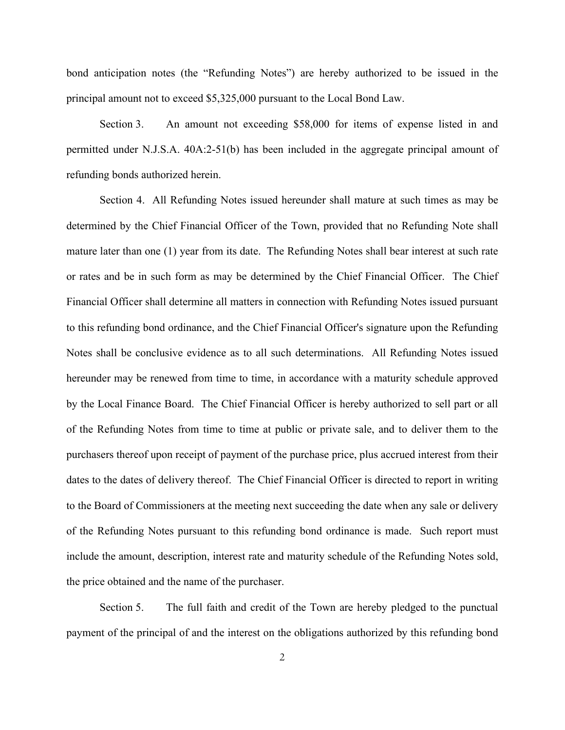bond anticipation notes (the "Refunding Notes") are hereby authorized to be issued in the principal amount not to exceed \$5,325,000 pursuant to the Local Bond Law.

Section 3. An amount not exceeding \$58,000 for items of expense listed in and permitted under N.J.S.A. 40A:2-51(b) has been included in the aggregate principal amount of refunding bonds authorized herein.

Section 4. All Refunding Notes issued hereunder shall mature at such times as may be determined by the Chief Financial Officer of the Town, provided that no Refunding Note shall mature later than one (1) year from its date. The Refunding Notes shall bear interest at such rate or rates and be in such form as may be determined by the Chief Financial Officer. The Chief Financial Officer shall determine all matters in connection with Refunding Notes issued pursuant to this refunding bond ordinance, and the Chief Financial Officer's signature upon the Refunding Notes shall be conclusive evidence as to all such determinations. All Refunding Notes issued hereunder may be renewed from time to time, in accordance with a maturity schedule approved by the Local Finance Board. The Chief Financial Officer is hereby authorized to sell part or all of the Refunding Notes from time to time at public or private sale, and to deliver them to the purchasers thereof upon receipt of payment of the purchase price, plus accrued interest from their dates to the dates of delivery thereof. The Chief Financial Officer is directed to report in writing to the Board of Commissioners at the meeting next succeeding the date when any sale or delivery of the Refunding Notes pursuant to this refunding bond ordinance is made. Such report must include the amount, description, interest rate and maturity schedule of the Refunding Notes sold, the price obtained and the name of the purchaser.

Section 5. The full faith and credit of the Town are hereby pledged to the punctual payment of the principal of and the interest on the obligations authorized by this refunding bond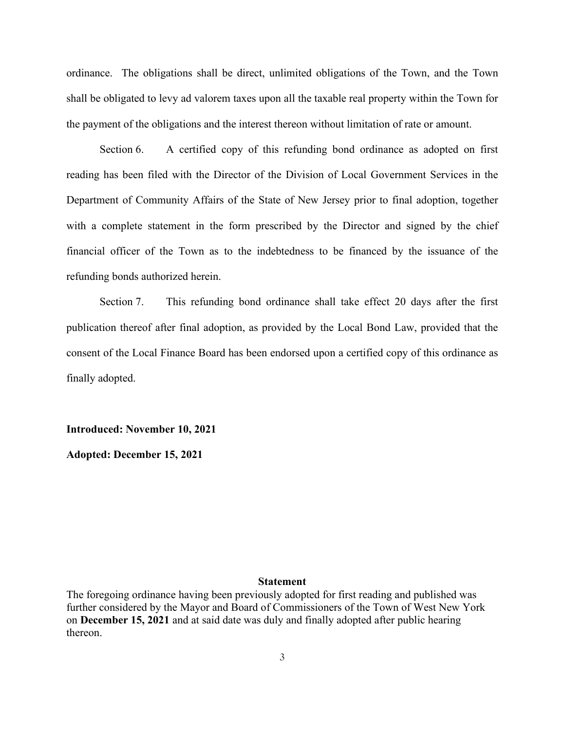ordinance. The obligations shall be direct, unlimited obligations of the Town, and the Town shall be obligated to levy ad valorem taxes upon all the taxable real property within the Town for the payment of the obligations and the interest thereon without limitation of rate or amount.

Section 6. A certified copy of this refunding bond ordinance as adopted on first reading has been filed with the Director of the Division of Local Government Services in the Department of Community Affairs of the State of New Jersey prior to final adoption, together with a complete statement in the form prescribed by the Director and signed by the chief financial officer of the Town as to the indebtedness to be financed by the issuance of the refunding bonds authorized herein.

Section 7. This refunding bond ordinance shall take effect 20 days after the first publication thereof after final adoption, as provided by the Local Bond Law, provided that the consent of the Local Finance Board has been endorsed upon a certified copy of this ordinance as finally adopted.

**Introduced: November 10, 2021**

**Adopted: December 15, 2021**

## **Statement**

The foregoing ordinance having been previously adopted for first reading and published was further considered by the Mayor and Board of Commissioners of the Town of West New York on **December 15, 2021** and at said date was duly and finally adopted after public hearing thereon.